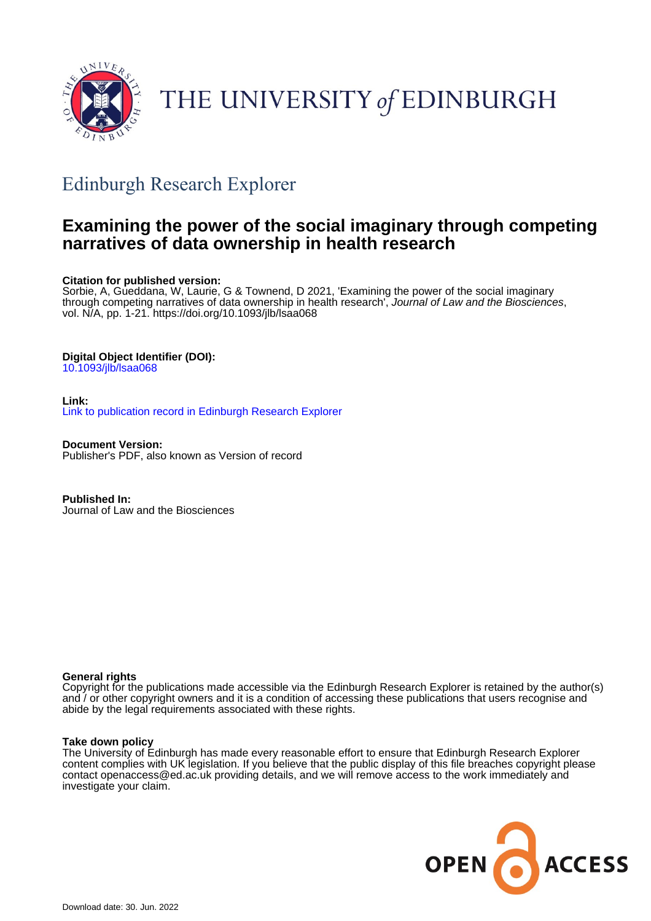

# THE UNIVERSITY of EDINBURGH

### Edinburgh Research Explorer

### **Examining the power of the social imaginary through competing narratives of data ownership in health research**

#### **Citation for published version:**

Sorbie, A, Gueddana, W, Laurie, G & Townend, D 2021, 'Examining the power of the social imaginary through competing narratives of data ownership in health research', Journal of Law and the Biosciences, vol. N/A, pp. 1-21. <https://doi.org/10.1093/jlb/lsaa068>

#### **Digital Object Identifier (DOI):**

[10.1093/jlb/lsaa068](https://doi.org/10.1093/jlb/lsaa068)

**Link:** [Link to publication record in Edinburgh Research Explorer](https://www.research.ed.ac.uk/en/publications/94e66188-af6b-4cd3-936d-b4d3a011a477)

**Document Version:** Publisher's PDF, also known as Version of record

**Published In:** Journal of Law and the Biosciences

#### **General rights**

Copyright for the publications made accessible via the Edinburgh Research Explorer is retained by the author(s) and / or other copyright owners and it is a condition of accessing these publications that users recognise and abide by the legal requirements associated with these rights.

#### **Take down policy**

The University of Edinburgh has made every reasonable effort to ensure that Edinburgh Research Explorer content complies with UK legislation. If you believe that the public display of this file breaches copyright please contact openaccess@ed.ac.uk providing details, and we will remove access to the work immediately and investigate your claim.

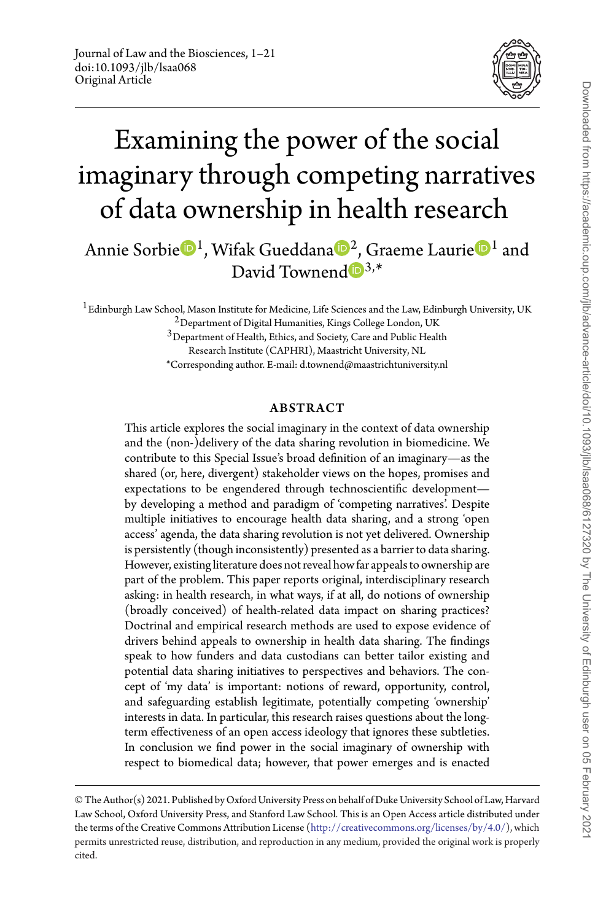

## Examining the power of the social imaginary through competing narratives of data ownership in health research

Annie Sorbie  $\mathbb{D}^1$  $\mathbb{D}^1$ , Wifak Gueddana  $\mathbb{D}^2$  $\mathbb{D}^2$ , Graeme Laurie  $\mathbb{D}^1$  and David Townend  $\mathbf{D}^{3,*}$  $\mathbf{D}^{3,*}$  $\mathbf{D}^{3,*}$ 

<sup>1</sup> Edinburgh Law School, Mason Institute for Medicine, Life Sciences and the Law, Edinburgh University, UK

<sup>2</sup> Department of Digital Humanities, Kings College London, UK

3Department of Health, Ethics, and Society, Care and Public Health

Research Institute (CAPHRI), Maastricht University, NL

\*Corresponding author. E-mail: d.townend@maastrichtuniversity.nl

#### ABSTRACT

This article explores the social imaginary in the context of data ownership and the (non-)delivery of the data sharing revolution in biomedicine. We contribute to this Special Issue's broad definition of an imaginary—as the shared (or, here, divergent) stakeholder views on the hopes, promises and expectations to be engendered through technoscientific development by developing a method and paradigm of 'competing narratives'. Despite multiple initiatives to encourage health data sharing, and a strong 'open access' agenda, the data sharing revolution is not yet delivered. Ownership is persistently (though inconsistently) presented as a barrier to data sharing. However, existing literature does not reveal how far appeals to ownership are part of the problem. This paper reports original, interdisciplinary research asking: in health research, in what ways, if at all, do notions of ownership (broadly conceived) of health-related data impact on sharing practices? Doctrinal and empirical research methods are used to expose evidence of drivers behind appeals to ownership in health data sharing. The findings speak to how funders and data custodians can better tailor existing and potential data sharing initiatives to perspectives and behaviors. The concept of 'my data' is important: notions of reward, opportunity, control, and safeguarding establish legitimate, potentially competing 'ownership' interests in data. In particular, this research raises questions about the longterm effectiveness of an open access ideology that ignores these subtleties. In conclusion we find power in the social imaginary of ownership with respect to biomedical data; however, that power emerges and is enacted

<sup>©</sup> The Author(s) 2021. Published by Oxford University Press on behalf of Duke University School of Law, Harvard Law School, Oxford University Press, and Stanford Law School. This is an Open Access article distributed under the terms of the Creative Commons Attribution License [\(http://creativecommons.org/licenses/by/4.0/\)](http://creativecommons.org/licenses/by/4.0/), which permits unrestricted reuse, distribution, and reproduction in any medium, provided the original work is properly cited.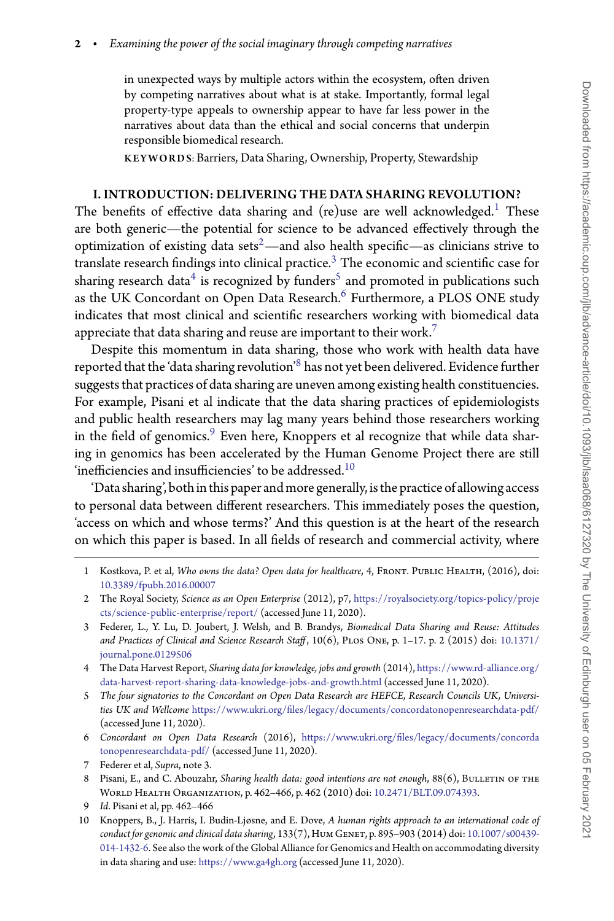in unexpected ways by multiple actors within the ecosystem, often driven by competing narratives about what is at stake. Importantly, formal legal property-type appeals to ownership appear to have far less power in the narratives about data than the ethical and social concerns that underpin responsible biomedical research.

KEYWORDS: Barriers, Data Sharing, Ownership, Property, Stewardship

#### I. INTRODUCTION: DELIVERING THE DATA SHARING REVOLUTION?

The benefits of effective data sharing and (re)use are well acknowledged.<sup>[1](#page-2-0)</sup> These are both generic—the potential for science to be advanced effectively through the optimization of existing data sets<sup>2</sup>—and also health specific—as clinicians strive to translate research findings into clinical practice.<sup>3</sup> The economic and scientific case for sharing research data<sup>4</sup> is recognized by funders<sup>5</sup> and promoted in publications such as the UK Concordant on Open Data Research.<sup>[6](#page-2-5)</sup> Furthermore, a PLOS ONE study indicates that most clinical and scientific researchers working with biomedical data appreciate that data sharing and reuse are important to their work.<sup>[7](#page-2-6)</sup>

Despite this momentum in data sharing, those who work with health data have reported that the 'data sharing revolution'[8](#page-2-7) has not yet been delivered. Evidence further suggests that practices of data sharing are uneven among existing health constituencies. For example, Pisani et al indicate that the data sharing practices of epidemiologists and public health researchers may lag many years behind those researchers working in the field of genomics.<sup>9</sup> Even here, Knoppers et al recognize that while data sharing in genomics has been accelerated by the Human Genome Project there are still 'inefficiencies and insufficiencies' to be addressed. $^{10}$ 

'Data sharing', both inthis paper and more generally, isthe practice of allowing access to personal data between different researchers. This immediately poses the question, 'access on which and whose terms?' And this question is at the heart of the research on which this paper is based. In all fields of research and commercial activity, where

- <span id="page-2-2"></span>3 Federer, L., Y. Lu, D. Joubert, J. Welsh, and B. Brandys, *Biomedical Data Sharing and Reuse: Attitudes [and Practices of Clinical and Science Research Staff](https://doi.org/10.1371/journal.pone.0129506)* , 10(6), Plos One, p. 1–17. p. 2 (2015) doi: 10.1371/ journal.pone.0129506
- <span id="page-2-3"></span>4 The Data Harvest Report, *Sharing data for knowledge, jobs and growth* (2014), [https://www.rd-alliance.org/](https://www.rd-alliance.org/data-harvest-report-sharing-data-knowledge-jobs-and-growth.html) [data-harvest-report-sharing-data-knowledge-jobs-and-growth.html](https://www.rd-alliance.org/data-harvest-report-sharing-data-knowledge-jobs-and-growth.html) (accessed June 11, 2020).
- <span id="page-2-4"></span>5 *The four signatories to the Concordant on Open Data Research are HEFCE, Research Councils UK, Universities UK and Wellcome* <https://www.ukri.org/files/legacy/documents/concordatonopenresearchdata-pdf/> (accessed June 11, 2020).
- <span id="page-2-5"></span>6 *Concordant on Open Data Research* (2016), [https://www.ukri.org/files/legacy/documents/concorda](https://www.ukri.org/files/legacy/documents/concordatonopenresearchdata-pdf/) [tonopenresearchdata-pdf/](https://www.ukri.org/files/legacy/documents/concordatonopenresearchdata-pdf/) (accessed June 11, 2020).
- 7 Federer et al, *Supra*, note 3.
- <span id="page-2-7"></span><span id="page-2-6"></span>8 Pisani, E., and C. Abouzahr, *Sharing health data: good intentions are not enough*, 88(6), BULLETIN OF THE World Health Organization, p. 462–466, p. 462 (2010) doi: [10.2471/BLT.09.074393.](https://doi.org/10.2471/BLT.09.074393)
- 9 *Id*. Pisani et al, pp. 462–466
- <span id="page-2-9"></span><span id="page-2-8"></span>10 Knoppers, B., J. Harris, I. Budin-Ljøsne, and E. Dove, *A human rights approach to an international code of conduct for genomic and clinical data sharing*, 133(7), Hum Genet, p. 895–903 (2014) doi: 10.1007/s00439- [014-1432-6. See also the work of the Global Alliance for Genomics and Health on accommodating diversity](https://doi.org/10.1007/s00439-014-1432-6) in data sharing and use: <https://www.ga4gh.org> (accessed June 11, 2020).

<span id="page-2-0"></span><sup>1</sup> Kostkova, P. et al, *Who owns the data? Open data for healthcare*, 4, Front. Public Health, (2016), doi: [10.3389/fpubh.2016.00007](https://doi.org/10.3389/fpubh.2016.00007)

<span id="page-2-1"></span><sup>2</sup> The Royal Society, *Science as an Open Enterprise* (2012), p7, [https://royalsociety.org/topics-policy/proje](https://royalsociety.org/topics-policy/projects/science-public-enterprise/report/) [cts/science-public-enterprise/report/](https://royalsociety.org/topics-policy/projects/science-public-enterprise/report/) (accessed June 11, 2020).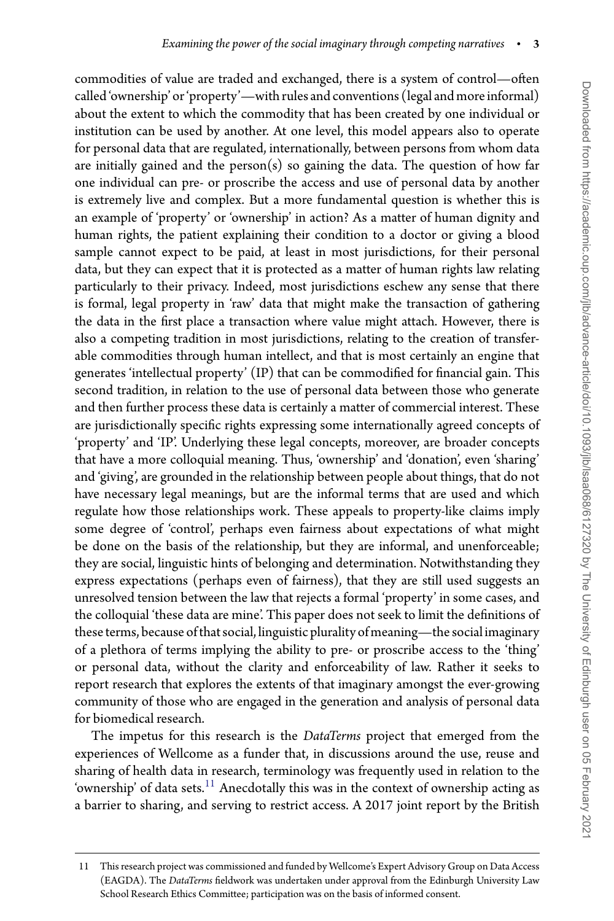commodities of value are traded and exchanged, there is a system of control—often called 'ownership' or 'property'—with rules and conventions (legal and more informal) about the extent to which the commodity that has been created by one individual or institution can be used by another. At one level, this model appears also to operate for personal data that are regulated, internationally, between persons from whom data are initially gained and the person(s) so gaining the data. The question of how far one individual can pre- or proscribe the access and use of personal data by another is extremely live and complex. But a more fundamental question is whether this is an example of 'property' or 'ownership' in action? As a matter of human dignity and human rights, the patient explaining their condition to a doctor or giving a blood sample cannot expect to be paid, at least in most jurisdictions, for their personal data, but they can expect that it is protected as a matter of human rights law relating particularly to their privacy. Indeed, most jurisdictions eschew any sense that there is formal, legal property in 'raw' data that might make the transaction of gathering the data in the first place a transaction where value might attach. However, there is also a competing tradition in most jurisdictions, relating to the creation of transferable commodities through human intellect, and that is most certainly an engine that generates 'intellectual property' (IP) that can be commodified for financial gain. This second tradition, in relation to the use of personal data between those who generate and then further process these data is certainly a matter of commercial interest. These are jurisdictionally specific rights expressing some internationally agreed concepts of 'property' and 'IP'. Underlying these legal concepts, moreover, are broader concepts that have a more colloquial meaning. Thus, 'ownership' and 'donation', even 'sharing' and 'giving', are grounded in the relationship between people about things, that do not have necessary legal meanings, but are the informal terms that are used and which regulate how those relationships work. These appeals to property-like claims imply some degree of 'control', perhaps even fairness about expectations of what might be done on the basis of the relationship, but they are informal, and unenforceable; they are social, linguistic hints of belonging and determination. Notwithstanding they express expectations (perhaps even of fairness), that they are still used suggests an unresolved tension between the law that rejects a formal 'property' in some cases, and the colloquial 'these data are mine'. This paper does not seek to limit the definitions of these terms, because of that social, linguistic plurality of meaning—the social imaginary of a plethora of terms implying the ability to pre- or proscribe access to the 'thing' or personal data, without the clarity and enforceability of law. Rather it seeks to report research that explores the extents of that imaginary amongst the ever-growing community of those who are engaged in the generation and analysis of personal data for biomedical research.

The impetus for this research is the *DataTerms* project that emerged from the experiences of Wellcome as a funder that, in discussions around the use, reuse and sharing of health data in research, terminology was frequently used in relation to the 'ownership' of data sets.<sup>[11](#page-3-0)</sup> Anecdotally this was in the context of ownership acting as a barrier to sharing, and serving to restrict access. A 2017 joint report by the British

<span id="page-3-0"></span><sup>11</sup> This research project was commissioned and funded by Wellcome's Expert Advisory Group on Data Access (EAGDA). The *DataTerms* fieldwork was undertaken under approval from the Edinburgh University Law School Research Ethics Committee; participation was on the basis of informed consent.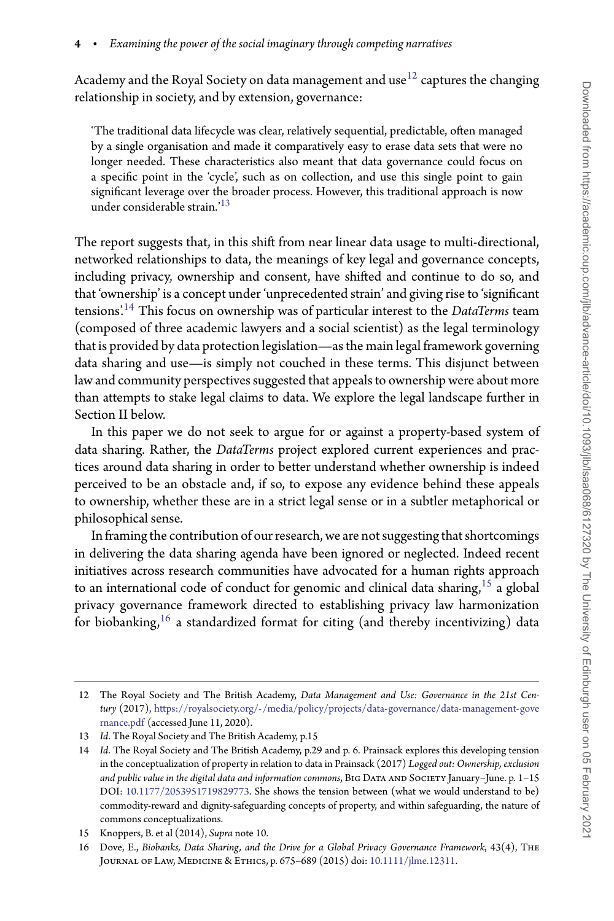Academy and the Royal Society on data management and use $^{12}$  $^{12}$  $^{12}$  captures the changing relationship in society, and by extension, governance:

'The traditional data lifecycle was clear, relatively sequential, predictable, often managed by a single organisation and made it comparatively easy to erase data sets that were no longer needed. These characteristics also meant that data governance could focus on a specific point in the 'cycle', such as on collection, and use this single point to gain significant leverage over the broader process. However, this traditional approach is now under considerable strain.'[13](#page-4-1)

The report suggests that, in this shift from near linear data usage to multi-directional, networked relationships to data, the meanings of key legal and governance concepts, including privacy, ownership and consent, have shifted and continue to do so, and that 'ownership' is a concept under 'unprecedented strain' and giving rise to 'significant tensions['.14](#page-4-2) This focus on ownership was of particular interest to the *DataTerms* team (composed of three academic lawyers and a social scientist) as the legal terminology that is provided by data protection legislation—as the main legal framework governing data sharing and use—is simply not couched in these terms. This disjunct between law and community perspectives suggested that appeals to ownership were about more than attempts to stake legal claims to data. We explore the legal landscape further in Section II below.

In this paper we do not seek to argue for or against a property-based system of data sharing. Rather, the *DataTerms* project explored current experiences and practices around data sharing in order to better understand whether ownership is indeed perceived to be an obstacle and, if so, to expose any evidence behind these appeals to ownership, whether these are in a strict legal sense or in a subtler metaphorical or philosophical sense.

In framing the contribution of our research, we are not suggesting that shortcomings in delivering the data sharing agenda have been ignored or neglected. Indeed recent initiatives across research communities have advocated for a human rights approach to an international code of conduct for genomic and clinical data sharing,  $15$  a global privacy governance framework directed to establishing privacy law harmonization for biobanking,  $16$  a standardized format for citing (and thereby incentivizing) data

<span id="page-4-0"></span><sup>12</sup> The Royal Society and The British Academy, *Data Management and Use: Governance in the 21st Century* (2017), [https://royalsociety.org/-/media/policy/projects/data-governance/data-management-gove](https://royalsociety.org/-/media/policy/projects/data-governance/data-management-governance.pdf) [rnance.pdf](https://royalsociety.org/-/media/policy/projects/data-governance/data-management-governance.pdf) (accessed June 11, 2020).

<sup>13</sup> *Id*. The Royal Society and The British Academy, p.15

<span id="page-4-2"></span><span id="page-4-1"></span><sup>14</sup> *Id*. The Royal Society and The British Academy, p.29 and p. 6. Prainsack explores this developing tension in the conceptualization of property in relation to data in Prainsack (2017) *Logged out: Ownership, exclusion* and public value in the digital data and information commons, BIG DATA AND SOCIETY January–June. p. 1-15 DOI: [10.1177/2053951719829773.](https://doi.org/10.1177/2053951719829773) She shows the tension between (what we would understand to be) commodity-reward and dignity-safeguarding concepts of property, and within safeguarding, the nature of commons conceptualizations.

<sup>15</sup> Knoppers, B. et al (2014), *Supra* note 10.

<span id="page-4-4"></span><span id="page-4-3"></span><sup>16</sup> Dove, E., *Biobanks, Data Sharing, and the Drive for a Global Privacy Governance Framework*, 43(4), The Journal of Law, Medicine & Ethics, p. 675–689 (2015) doi: [10.1111/jlme.12311.](https://doi.org/10.1111/jlme.12311)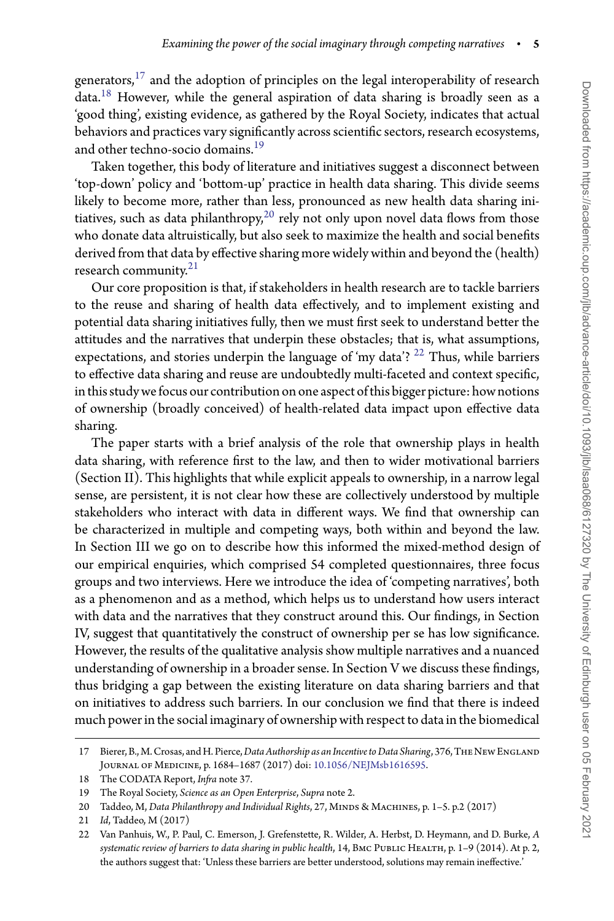generators, $^{17}$  $^{17}$  $^{17}$  and the adoption of principles on the legal interoperability of research data.<sup>[18](#page-5-1)</sup> However, while the general aspiration of data sharing is broadly seen as a 'good thing', existing evidence, as gathered by the Royal Society, indicates that actual behaviors and practices vary significantly across scientific sectors, research ecosystems, and other techno-socio domains.<sup>19</sup>

Taken together, this body of literature and initiatives suggest a disconnect between 'top-down' policy and 'bottom-up' practice in health data sharing. This divide seems likely to become more, rather than less, pronounced as new health data sharing initiatives, such as data philanthropy, $20$  rely not only upon novel data flows from those who donate data altruistically, but also seek to maximize the health and social benefits derived from that data by effective sharing more widely within and beyond the (health) research community.<sup>[21](#page-5-4)</sup>

Our core proposition is that, if stakeholders in health research are to tackle barriers to the reuse and sharing of health data effectively, and to implement existing and potential data sharing initiatives fully, then we must first seek to understand better the attitudes and the narratives that underpin these obstacles; that is, what assumptions, expectations, and stories underpin the language of 'my data'?  $^{22}$  $^{22}$  $^{22}$  Thus, while barriers to effective data sharing and reuse are undoubtedly multi-faceted and context specific, inthis study we focus our contribution on one aspect ofthis bigger picture: how notions of ownership (broadly conceived) of health-related data impact upon effective data sharing.

The paper starts with a brief analysis of the role that ownership plays in health data sharing, with reference first to the law, and then to wider motivational barriers (Section II). This highlights that while explicit appeals to ownership, in a narrow legal sense, are persistent, it is not clear how these are collectively understood by multiple stakeholders who interact with data in different ways. We find that ownership can be characterized in multiple and competing ways, both within and beyond the law. In Section III we go on to describe how this informed the mixed-method design of our empirical enquiries, which comprised 54 completed questionnaires, three focus groups and two interviews. Here we introduce the idea of 'competing narratives', both as a phenomenon and as a method, which helps us to understand how users interact with data and the narratives that they construct around this. Our findings, in Section IV, suggest that quantitatively the construct of ownership per se has low significance. However, the results of the qualitative analysis show multiple narratives and a nuanced understanding of ownership in a broader sense. In Section V we discuss these findings, thus bridging a gap between the existing literature on data sharing barriers and that on initiatives to address such barriers. In our conclusion we find that there is indeed much power inthe social imaginary of ownership with respect to data inthe biomedical

<span id="page-5-0"></span><sup>17</sup> Bierer, B., M. Crosas, and H. Pierce, *Data Authorship as an Incentive to Data Sharing*, 376, THE NEW ENGLAND Journal of Medicine, p. 1684–1687 (2017) doi: [10.1056/NEJMsb1616595.](https://doi.org/10.1056/NEJMsb1616595)

<sup>18</sup> The CODATA Report, *Infra* note 37.

<span id="page-5-1"></span><sup>19</sup> The Royal Society, *Science as an Open Enterprise*, *Supra* note 2.

<span id="page-5-2"></span><sup>20</sup> Taddeo, M, *Data Philanthropy and Individual Rights*, 27, MINDS & MACHINES, p. 1-5. p.2 (2017)

<span id="page-5-3"></span><sup>21</sup> *Id*, Taddeo, M (2017)

<span id="page-5-5"></span><span id="page-5-4"></span><sup>22</sup> Van Panhuis, W., P. Paul, C. Emerson, J. Grefenstette, R. Wilder, A. Herbst, D. Heymann, and D. Burke, *A systematic review of barriers to data sharing in public health*, 14, BMC PUBLIC HEALTH, p. 1–9 (2014). At p. 2, the authors suggest that: 'Unless these barriers are better understood, solutions may remain ineffective.'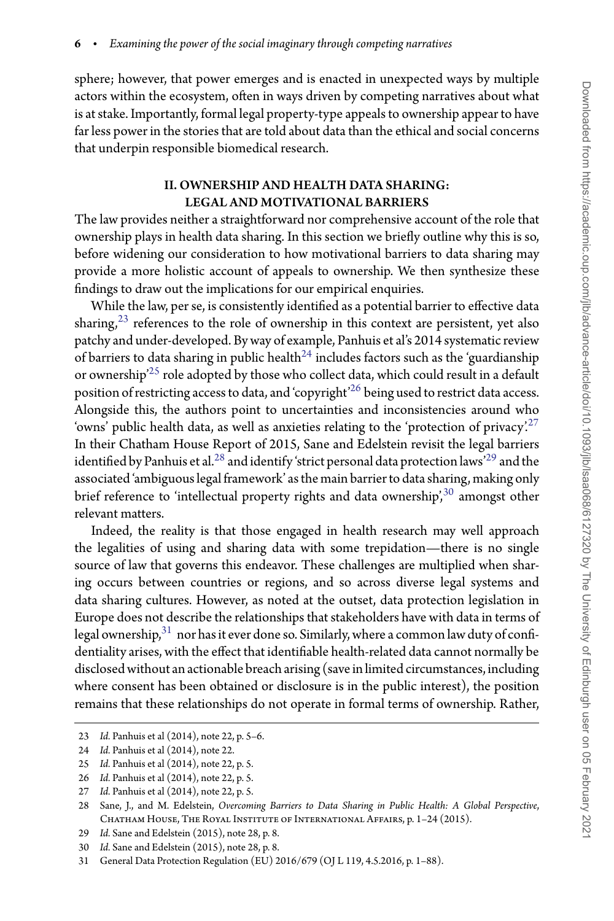sphere; however, that power emerges and is enacted in unexpected ways by multiple actors within the ecosystem, often in ways driven by competing narratives about what is at stake. Importantly, formal legal property-type appeals to ownership appear to have far less power in the stories that are told about data than the ethical and social concerns that underpin responsible biomedical research.

#### II. OWNERSHIP AND HEALTH DATA SHARING: LEGAL AND MOTIVATIONAL BARRIERS

The law provides neither a straightforward nor comprehensive account of the role that ownership plays in health data sharing. In this section we briefly outline why this is so, before widening our consideration to how motivational barriers to data sharing may provide a more holistic account of appeals to ownership. We then synthesize these findings to draw out the implications for our empirical enquiries.

While the law, per se, is consistently identified as a potential barrier to effective data sharing, $2<sup>3</sup>$  references to the role of ownership in this context are persistent, yet also patchy and under-developed. By way of example, Panhuis et al's 2014 systematic review of barriers to data sharing in public health<sup>[24](#page-6-1)</sup> includes factors such as the 'guardianship or ownership['25](#page-6-2) role adopted by those who collect data, which could result in a default position of restricting access to data, and 'copyright'<sup>26</sup> being used to restrict data access. Alongside this, the authors point to uncertainties and inconsistencies around who 'owns' public health data, as well as anxieties relating to the 'protection of privacy'.<sup>[27](#page-6-4)</sup> In their Chatham House Report of 2015, Sane and Edelstein revisit the legal barriers identified by Panhuis et al.<sup>[28](#page-6-5)</sup> and identify 'strict personal data protection laws'<sup>29</sup> and the associated 'ambiguous legal framework' asthe main barrierto data sharing, making only brief reference to 'intellectual property rights and data ownership',<sup>[30](#page-6-7)</sup> amongst other relevant matters.

Indeed, the reality is that those engaged in health research may well approach the legalities of using and sharing data with some trepidation—there is no single source of law that governs this endeavor. These challenges are multiplied when sharing occurs between countries or regions, and so across diverse legal systems and data sharing cultures. However, as noted at the outset, data protection legislation in Europe does not describe the relationships that stakeholders have with data in terms of legal ownership,  $31$  nor has it ever done so. Similarly, where a common law duty of confidentiality arises, with the effect that identifiable health-related data cannot normally be disclosed without an actionable breach arising (save in limited circumstances, including where consent has been obtained or disclosure is in the public interest), the position remains that these relationships do not operate in formal terms of ownership. Rather,

<sup>23</sup> *Id.* Panhuis et al (2014), note 22, p. 5–6.

<span id="page-6-0"></span><sup>24</sup> *Id.* Panhuis et al (2014), note 22.

<span id="page-6-1"></span><sup>25</sup> *Id.* Panhuis et al (2014), note 22, p. 5.

<span id="page-6-2"></span><sup>26</sup> *Id.* Panhuis et al (2014), note 22, p. 5.

<span id="page-6-3"></span><sup>27</sup> *Id.* Panhuis et al (2014), note 22, p. 5.

<span id="page-6-5"></span><span id="page-6-4"></span><sup>28</sup> Sane, J., and M. Edelstein, *Overcoming Barriers to Data Sharing in Public Health: A Global Perspective*, Chatham House, The Royal Institute of International Affairs, p. 1–24 (2015).

<sup>29</sup> *Id.* Sane and Edelstein (2015), note 28, p. 8.

<span id="page-6-6"></span><sup>30</sup> *Id.* Sane and Edelstein (2015), note 28, p. 8.

<span id="page-6-8"></span><span id="page-6-7"></span><sup>31</sup> General Data Protection Regulation (EU) 2016/679 (OJ L 119, 4.5.2016, p. 1–88).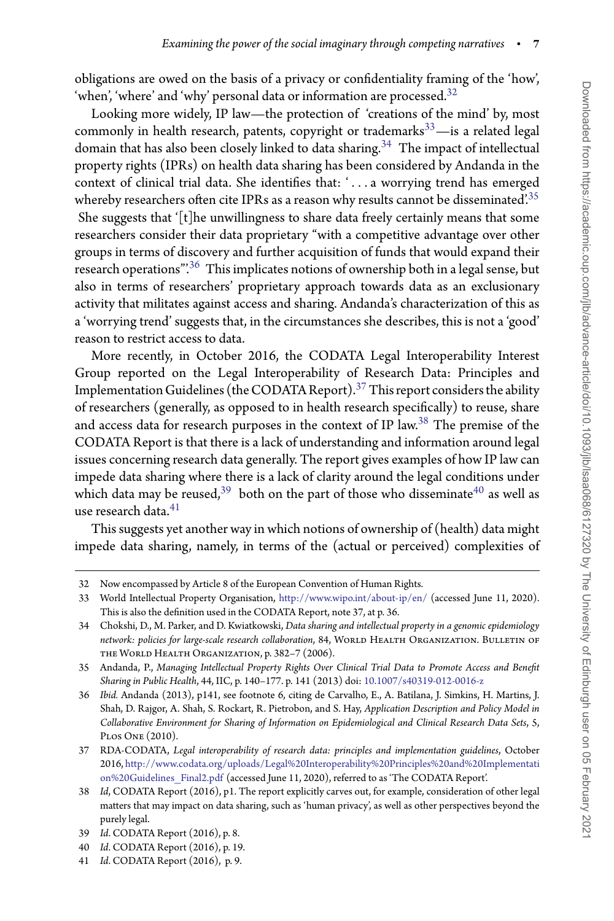obligations are owed on the basis of a privacy or confidentiality framing of the 'how', 'when', 'where' and 'why' personal data or information are processed.<sup>32</sup>

Looking more widely, IP law—the protection of 'creations of the mind' by, most commonly in health research, patents, copyright or trademarks $33$ —is a related legal domain that has also been closely linked to data sharing.<sup>[34](#page-7-2)</sup> The impact of intellectual property rights (IPRs) on health data sharing has been considered by Andanda in the context of clinical trial data. She identifies that: ' *...* a worrying trend has emerged whereby researchers often cite IPRs as a reason why results cannot be disseminated.<sup>35</sup> She suggests that '[t]he unwillingness to share data freely certainly means that some researchers consider their data proprietary "with a competitive advantage over other groups in terms of discovery and further acquisition of funds that would expand their research operations".<sup>[36](#page-7-4)</sup> This implicates notions of ownership both in a legal sense, but also in terms of researchers' proprietary approach towards data as an exclusionary activity that militates against access and sharing. Andanda's characterization of this as a 'worrying trend' suggests that, in the circumstances she describes, this is not a 'good' reason to restrict access to data.

More recently, in October 2016, the CODATA Legal Interoperability Interest Group reported on the Legal Interoperability of Research Data: Principles and Implementation Guidelines (the CODATA Report).<sup>[37](#page-7-5)</sup> This report considers the ability of researchers (generally, as opposed to in health research specifically) to reuse, share and access data for research purposes in the context of IP law[.38](#page-7-6) The premise of the CODATA Report is that there is a lack of understanding and information around legal issues concerning research data generally. The report gives examples of how IP law can impede data sharing where there is a lack of clarity around the legal conditions under which data may be reused,<sup>39</sup> both on the part of those who disseminate<sup>[40](#page-7-8)</sup> as well as use research data.<sup>[41](#page-7-9)</sup>

This suggests yet another way in which notions of ownership of (health) data might impede data sharing, namely, in terms of the (actual or perceived) complexities of

<sup>32</sup> Now encompassed by Article 8 of the European Convention of Human Rights.

<span id="page-7-1"></span><span id="page-7-0"></span><sup>33</sup> World Intellectual Property Organisation, <http://www.wipo.int/about-ip/en/> (accessed June 11, 2020). This is also the definition used in the CODATA Report, note 37, at p. 36.

<span id="page-7-2"></span><sup>34</sup> Chokshi, D., M. Parker, and D. Kwiatkowski, *Data sharing and intellectual property in a genomic epidemiology* network: policies for large-scale research collaboration, 84, WORLD HEALTH ORGANIZATION. BULLETIN OF the World Health Organization, p. 382–7 (2006).

<span id="page-7-3"></span><sup>35</sup> Andanda, P., *Managing Intellectual Property Rights Over Clinical Trial Data to Promote Access and Benefit Sharing in Public Health*, 44, IIC, p. 140–177. p. 141 (2013) doi: [10.1007/s40319-012-0016-z](https://doi.org/10.1007/s40319-012-0016-z)

<span id="page-7-4"></span><sup>36</sup> *Ibid.* Andanda (2013), p141, see footnote 6, citing de Carvalho, E., A. Batilana, J. Simkins, H. Martins, J. Shah, D. Rajgor, A. Shah, S. Rockart, R. Pietrobon, and S. Hay, *Application Description and Policy Model in Collaborative Environment for Sharing of Information on Epidemiological and Clinical Research Data Sets*, 5, Plos One (2010).

<span id="page-7-5"></span><sup>37</sup> RDA-CODATA, *Legal interoperability of research data: principles and implementation guidelines*, October 2016, [http://www.codata.org/uploads/Legal%20Interoperability%20Principles%20and%20Implementati](http://www.codata.org/uploads/Legal%20Interoperability%20Principles%20and%20Implementation%20Guidelines_Final2.pdf) [on%20Guidelines\\_Final2.pdf](http://www.codata.org/uploads/Legal%20Interoperability%20Principles%20and%20Implementation%20Guidelines_Final2.pdf) (accessed June 11, 2020), referred to as 'The CODATA Report'.

<span id="page-7-6"></span><sup>38</sup> *Id*, CODATA Report (2016), p1. The report explicitly carves out, for example, consideration of other legal matters that may impact on data sharing, such as 'human privacy', as well as other perspectives beyond the purely legal.

<sup>39</sup> *Id*. CODATA Report (2016), p. 8.

<span id="page-7-7"></span><sup>40</sup> *Id*. CODATA Report (2016), p. 19.

<span id="page-7-9"></span><span id="page-7-8"></span><sup>41</sup> *Id*. CODATA Report (2016), p. 9.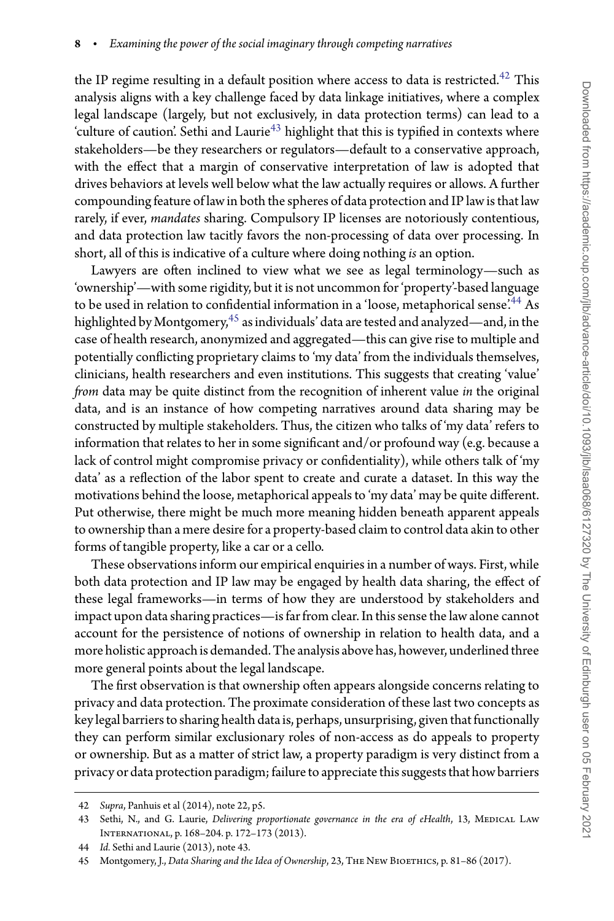the IP regime resulting in a default position where access to data is restricted. $42$  This analysis aligns with a key challenge faced by data linkage initiatives, where a complex legal landscape (largely, but not exclusively, in data protection terms) can lead to a 'culture of caution'. Sethi and Laurie<sup>43</sup> highlight that this is typified in contexts where stakeholders—be they researchers or regulators—default to a conservative approach, with the effect that a margin of conservative interpretation of law is adopted that drives behaviors at levels well below what the law actually requires or allows. A further compounding feature of law in both the spheres of data protection and IP law is that law rarely, if ever, *mandates* sharing. Compulsory IP licenses are notoriously contentious, and data protection law tacitly favors the non-processing of data over processing. In short, all of this is indicative of a culture where doing nothing *is* an option.

Lawyers are often inclined to view what we see as legal terminology—such as 'ownership'—with some rigidity, but it is not uncommon for 'property'-based language to be used in relation to confidential information in a 'loose, metaphorical sense'.<sup>44</sup> As highlighted by Montgomery,<sup>45</sup> as individuals' data are tested and analyzed—and, in the case of health research, anonymized and aggregated—this can give rise to multiple and potentially conflicting proprietary claims to 'my data' from the individuals themselves, clinicians, health researchers and even institutions. This suggests that creating 'value' *from* data may be quite distinct from the recognition of inherent value *in* the original data, and is an instance of how competing narratives around data sharing may be constructed by multiple stakeholders. Thus, the citizen who talks of 'my data' refers to information that relates to her in some significant and/or profound way (e.g. because a lack of control might compromise privacy or confidentiality), while others talk of 'my data' as a reflection of the labor spent to create and curate a dataset. In this way the motivations behind the loose, metaphorical appeals to 'my data' may be quite different. Put otherwise, there might be much more meaning hidden beneath apparent appeals to ownership than a mere desire for a property-based claim to control data akin to other forms of tangible property, like a car or a cello.

These observations inform our empirical enquiries in a number of ways. First, while both data protection and IP law may be engaged by health data sharing, the effect of these legal frameworks—in terms of how they are understood by stakeholders and impact upon data sharing practices—is far from clear. In this sense the law alone cannot account for the persistence of notions of ownership in relation to health data, and a more holistic approach is demanded. The analysis above has, however, underlined three more general points about the legal landscape.

The first observation is that ownership often appears alongside concerns relating to privacy and data protection. The proximate consideration of these last two concepts as key legal barriers to sharing health data is, perhaps, unsurprising, given that functionally they can perform similar exclusionary roles of non-access as do appeals to property or ownership. But as a matter of strict law, a property paradigm is very distinct from a privacy or data protection paradigm; failure to appreciate this suggests that how barriers

<sup>42</sup> *Supra*, Panhuis et al (2014), note 22, p5.

<span id="page-8-1"></span><span id="page-8-0"></span><sup>43</sup> Sethi, N., and G. Laurie, *Delivering proportionate governance in the era of eHealth*, 13, MEDICAL LAW International, p. 168–204. p. 172–173 (2013).

<sup>44</sup> *Id.* Sethi and Laurie (2013), note 43.

<span id="page-8-3"></span><span id="page-8-2"></span><sup>45</sup> Montgomery, J., *Data Sharing and the Idea of Ownership*, 23, The New Bioethics, p. 81–86 (2017).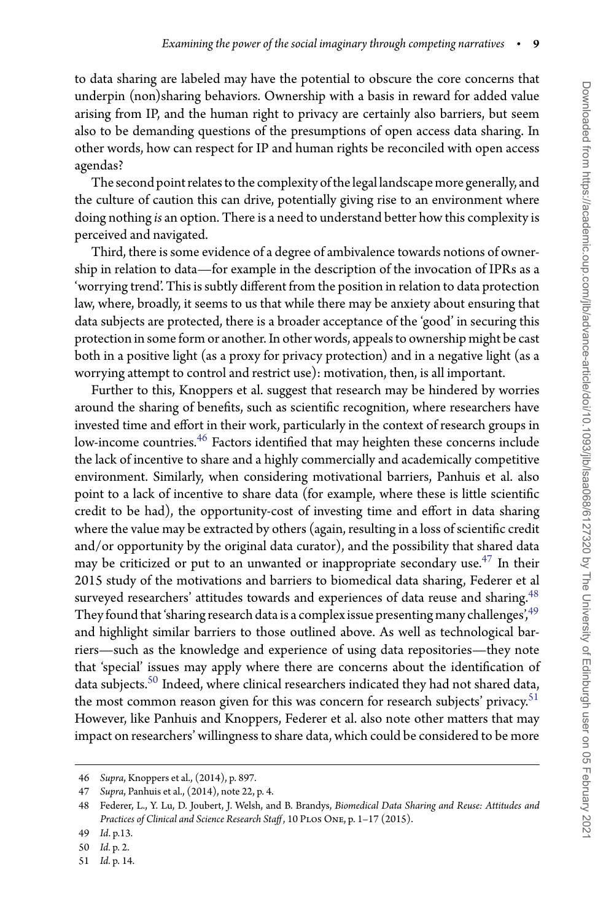to data sharing are labeled may have the potential to obscure the core concerns that underpin (non)sharing behaviors. Ownership with a basis in reward for added value arising from IP, and the human right to privacy are certainly also barriers, but seem also to be demanding questions of the presumptions of open access data sharing. In other words, how can respect for IP and human rights be reconciled with open access agendas?

The second point relates to the complexity of the legal landscape more generally, and the culture of caution this can drive, potentially giving rise to an environment where doing nothing *is* an option. There is a need to understand better how this complexity is perceived and navigated.

Third, there is some evidence of a degree of ambivalence towards notions of ownership in relation to data—for example in the description of the invocation of IPRs as a 'worrying trend'. This is subtly different from the position in relation to data protection law, where, broadly, it seems to us that while there may be anxiety about ensuring that data subjects are protected, there is a broader acceptance of the 'good' in securing this protection in some form or another. In other words, appeals to ownership might be cast both in a positive light (as a proxy for privacy protection) and in a negative light (as a worrying attempt to control and restrict use): motivation, then, is all important.

Further to this, Knoppers et al. suggest that research may be hindered by worries around the sharing of benefits, such as scientific recognition, where researchers have invested time and effort in their work, particularly in the context of research groups in low-income countries.<sup>46</sup> Factors identified that may heighten these concerns include the lack of incentive to share and a highly commercially and academically competitive environment. Similarly, when considering motivational barriers, Panhuis et al. also point to a lack of incentive to share data (for example, where these is little scientific credit to be had), the opportunity-cost of investing time and effort in data sharing where the value may be extracted by others (again, resulting in a loss of scientific credit and/or opportunity by the original data curator), and the possibility that shared data may be criticized or put to an unwanted or inappropriate secondary use. $47$  In their 2015 study of the motivations and barriers to biomedical data sharing, Federer et al surveyed researchers' attitudes towards and experiences of data reuse and sharing.<sup>48</sup> They found that 'sharing research data is a complex issue presenting many challenges', $49$ and highlight similar barriers to those outlined above. As well as technological barriers—such as the knowledge and experience of using data repositories—they note that 'special' issues may apply where there are concerns about the identification of data subjects.<sup>[50](#page-9-4)</sup> Indeed, where clinical researchers indicated they had not shared data, the most common reason given for this was concern for research subjects' privacy.<sup>51</sup> However, like Panhuis and Knoppers, Federer et al. also note other matters that may impact on researchers' willingness to share data, which could be considered to be more

<sup>46</sup> *Supra*, Knoppers et al., (2014), p. 897.

<span id="page-9-0"></span><sup>47</sup> *Supra*, Panhuis et al., (2014), note 22, p. 4.

<span id="page-9-2"></span><span id="page-9-1"></span><sup>48</sup> Federer, L., Y. Lu, D. Joubert, J. Welsh, and B. Brandys, *Biomedical Data Sharing and Reuse: Attitudes and* Practices of Clinical and Science Research Staff, 10 PLOS ONE, p. 1-17 (2015).

<sup>49</sup> *Id*. p.13.

<span id="page-9-3"></span><sup>50</sup> *Id.* p. 2.

<span id="page-9-5"></span><span id="page-9-4"></span><sup>51</sup> *Id.* p. 14.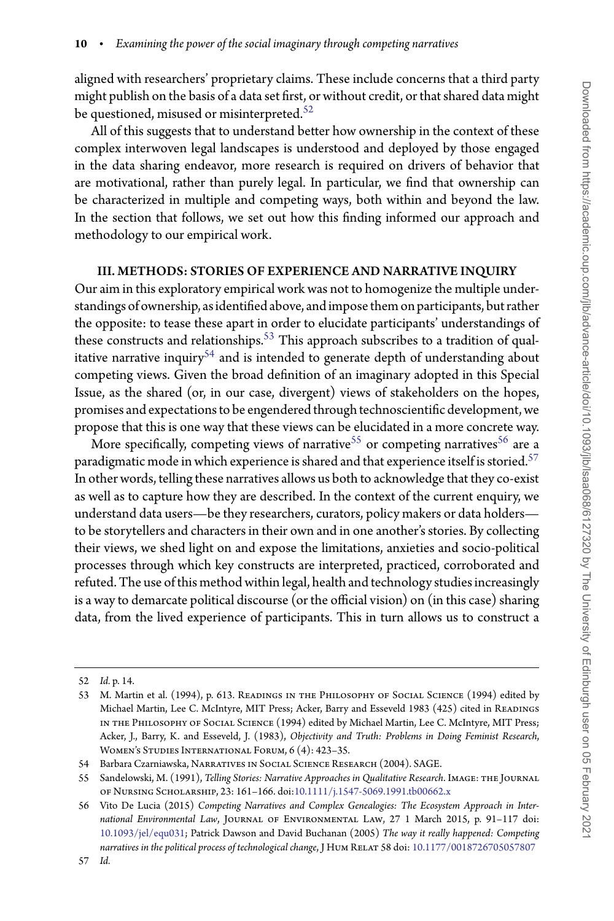aligned with researchers' proprietary claims. These include concerns that a third party might publish on the basis of a data set first, or without credit, or that shared data might be questioned, misused or misinterpreted.<sup>[52](#page-10-0)</sup>

All of this suggests that to understand better how ownership in the context of these complex interwoven legal landscapes is understood and deployed by those engaged in the data sharing endeavor, more research is required on drivers of behavior that are motivational, rather than purely legal. In particular, we find that ownership can be characterized in multiple and competing ways, both within and beyond the law. In the section that follows, we set out how this finding informed our approach and methodology to our empirical work.

#### III. METHODS: STORIES OF EXPERIENCE AND NARRATIVE INQUIRY

Our aim in this exploratory empirical work was not to homogenize the multiple understandings of ownership, as identified above, and imposethem on participants, but rather the opposite: to tease these apart in order to elucidate participants' understandings of these constructs and relationships.<sup>[53](#page-10-1)</sup> This approach subscribes to a tradition of qual-itative narrative inquiry<sup>[54](#page-10-2)</sup> and is intended to generate depth of understanding about competing views. Given the broad definition of an imaginary adopted in this Special Issue, as the shared (or, in our case, divergent) views of stakeholders on the hopes, promises and expectations to be engendered through technoscientific development, we propose that this is one way that these views can be elucidated in a more concrete way.

More specifically, competing views of narrative<sup>55</sup> or competing narratives<sup>[56](#page-10-4)</sup> are a paradigmatic mode in which experience is shared and that experience itself is storied.<sup>57</sup> In other words, telling these narratives allows us both to acknowledge that they co-exist as well as to capture how they are described. In the context of the current enquiry, we understand data users—be they researchers, curators, policy makers or data holders to be storytellers and characters in their own and in one another's stories. By collecting their views, we shed light on and expose the limitations, anxieties and socio-political processes through which key constructs are interpreted, practiced, corroborated and refuted. The use of this method within legal, health and technology studies increasingly is a way to demarcate political discourse (or the official vision) on (in this case) sharing data, from the lived experience of participants. This in turn allows us to construct a

<sup>52</sup> *Id.* p. 14.

<span id="page-10-1"></span><span id="page-10-0"></span><sup>53</sup> M. Martin et al. (1994), p. 613. READINGS IN THE PHILOSOPHY OF SOCIAL SCIENCE (1994) edited by Michael Martin, Lee C. McIntyre, MIT Press; Acker, Barry and Esseveld 1983 (425) cited in READINGS in the Philosophy of Social Science (1994) edited by Michael Martin, Lee C. McIntyre, MIT Press; Acker, J., Barry, K. and Esseveld, J. (1983), *Objectivity and Truth: Problems in Doing Feminist Research*, Women's Studies International Forum, 6 (4): 423–35.

<sup>54</sup> Barbara Czarniawska, NARRATIVES IN SOCIAL SCIENCE RESEARCH (2004). SAGE.

<span id="page-10-3"></span><span id="page-10-2"></span><sup>55</sup> Sandelowski, M. (1991), *Telling Stories: Narrative Approaches in Qualitative Research*. Image: the Journal of Nursing Scholarship, 23: 161–166. doi[:10.1111/j.1547-5069.1991.tb00662.x](https://doi.org/10.1111/j.1547-5069.1991.tb00662.x)

<span id="page-10-5"></span><span id="page-10-4"></span><sup>56</sup> Vito De Lucia (2015) *Competing Narratives and Complex Genealogies: The Ecosystem Approach in International Environmental Law*, Journal of Environmental Law, 27 1 March 2015, p. 91–117 doi: [10.1093/jel/equ031;](https://doi.org/10.1093/jel/equ031) Patrick Dawson and David Buchanan (2005) *The way it really happened: Competing* narratives in the political process of technological change, J HUM RELAT 58 doi: [10.1177/0018726705057807](https://doi.org/10.1177/0018726705057807)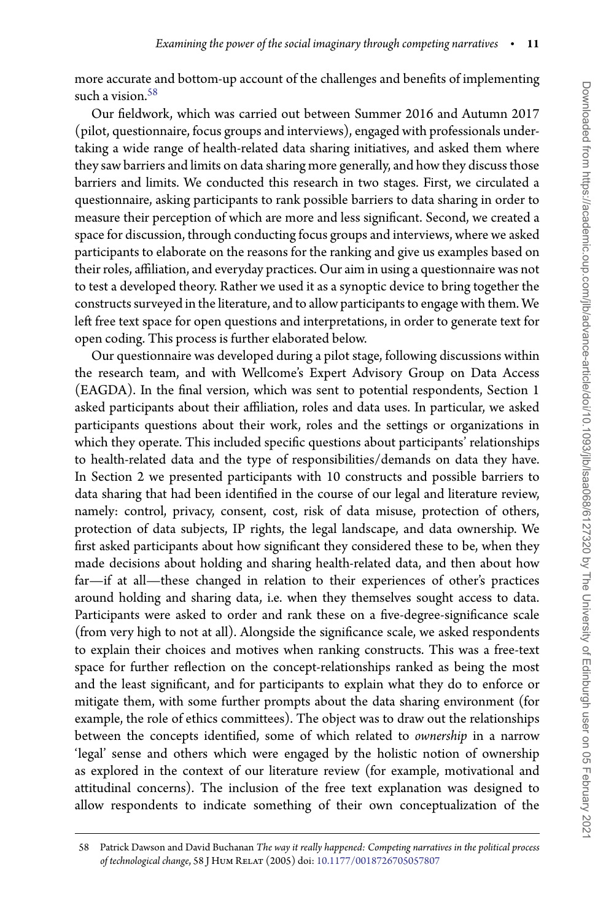more accurate and bottom-up account of the challenges and benefits of implementing such a vision.<sup>58</sup>

Our fieldwork, which was carried out between Summer 2016 and Autumn 2017 (pilot, questionnaire, focus groups and interviews), engaged with professionals undertaking a wide range of health-related data sharing initiatives, and asked them where they saw barriers and limits on data sharing more generally, and how they discuss those barriers and limits. We conducted this research in two stages. First, we circulated a questionnaire, asking participants to rank possible barriers to data sharing in order to measure their perception of which are more and less significant. Second, we created a space for discussion, through conducting focus groups and interviews, where we asked participants to elaborate on the reasons for the ranking and give us examples based on their roles, affiliation, and everyday practices. Our aim in using a questionnaire was not to test a developed theory. Rather we used it as a synoptic device to bring together the constructs surveyed in the literature, and to allow participants to engage with them. We left free text space for open questions and interpretations, in order to generate text for open coding. This process is further elaborated below.

Our questionnaire was developed during a pilot stage, following discussions within the research team, and with Wellcome's Expert Advisory Group on Data Access (EAGDA). In the final version, which was sent to potential respondents, Section 1 asked participants about their affiliation, roles and data uses. In particular, we asked participants questions about their work, roles and the settings or organizations in which they operate. This included specific questions about participants' relationships to health-related data and the type of responsibilities/demands on data they have. In Section 2 we presented participants with 10 constructs and possible barriers to data sharing that had been identified in the course of our legal and literature review, namely: control, privacy, consent, cost, risk of data misuse, protection of others, protection of data subjects, IP rights, the legal landscape, and data ownership. We first asked participants about how significant they considered these to be, when they made decisions about holding and sharing health-related data, and then about how far—if at all—these changed in relation to their experiences of other's practices around holding and sharing data, i.e. when they themselves sought access to data. Participants were asked to order and rank these on a five-degree-significance scale (from very high to not at all). Alongside the significance scale, we asked respondents to explain their choices and motives when ranking constructs. This was a free-text space for further reflection on the concept-relationships ranked as being the most and the least significant, and for participants to explain what they do to enforce or mitigate them, with some further prompts about the data sharing environment (for example, the role of ethics committees). The object was to draw out the relationships between the concepts identified, some of which related to *ownership* in a narrow 'legal' sense and others which were engaged by the holistic notion of ownership as explored in the context of our literature review (for example, motivational and attitudinal concerns). The inclusion of the free text explanation was designed to allow respondents to indicate something of their own conceptualization of the

<span id="page-11-0"></span><sup>58</sup> Patrick Dawson and David Buchanan *The way it really happened: Competing narratives in the political process of technological change*, 58 J Hum Relat (2005) doi: [10.1177/0018726705057807](https://doi.org/10.1177/0018726705057807)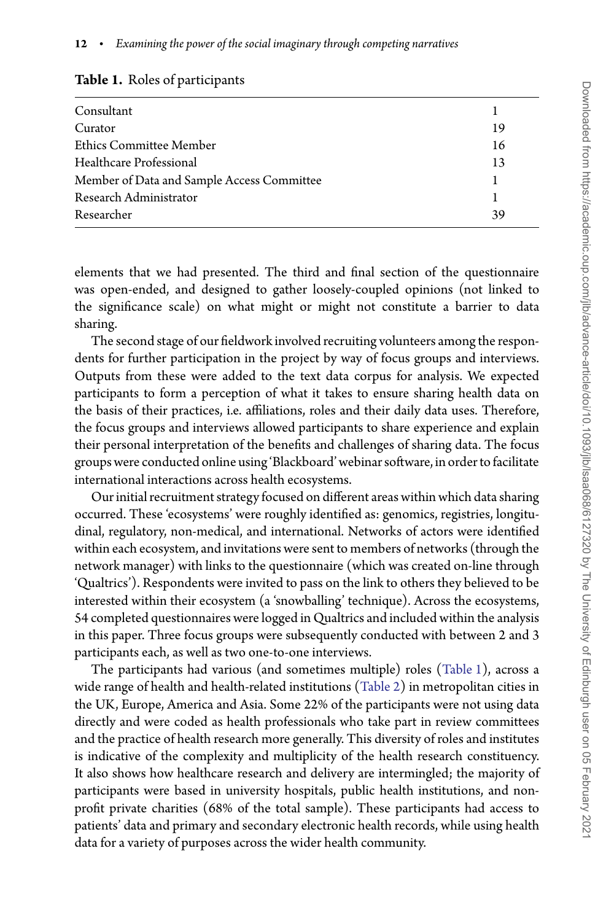| Consultant                                 |    |
|--------------------------------------------|----|
| Curator                                    | 19 |
| Ethics Committee Member                    | 16 |
| Healthcare Professional                    | 13 |
| Member of Data and Sample Access Committee |    |
| Research Administrator                     |    |
| Researcher                                 | 39 |

#### <span id="page-12-0"></span>**Table 1.** Roles of participants

elements that we had presented. The third and final section of the questionnaire was open-ended, and designed to gather loosely-coupled opinions (not linked to the significance scale) on what might or might not constitute a barrier to data sharing.

The second stage of our fieldwork involved recruiting volunteers among the respondents for further participation in the project by way of focus groups and interviews. Outputs from these were added to the text data corpus for analysis. We expected participants to form a perception of what it takes to ensure sharing health data on the basis of their practices, i.e. affiliations, roles and their daily data uses. Therefore, the focus groups and interviews allowed participants to share experience and explain their personal interpretation of the benefits and challenges of sharing data. The focus groups were conducted online using 'Blackboard' webinar software, in orderto facilitate international interactions across health ecosystems.

Our initial recruitment strategy focused on different areas within which data sharing occurred. These 'ecosystems' were roughly identified as: genomics, registries, longitudinal, regulatory, non-medical, and international. Networks of actors were identified within each ecosystem, and invitations were sent to members of networks (through the network manager) with links to the questionnaire (which was created on-line through 'Qualtrics'). Respondents were invited to pass on the link to others they believed to be interested within their ecosystem (a 'snowballing' technique). Across the ecosystems, 54 completed questionnaires were logged in Qualtrics and included within the analysis in this paper. Three focus groups were subsequently conducted with between 2 and 3 participants each, as well as two one-to-one interviews.

The participants had various (and sometimes multiple) roles [\(Table 1\)](#page-12-0), across a wide range of health and health-related institutions [\(Table 2\)](#page-13-0) in metropolitan cities in the UK, Europe, America and Asia. Some 22% of the participants were not using data directly and were coded as health professionals who take part in review committees and the practice of health research more generally. This diversity of roles and institutes is indicative of the complexity and multiplicity of the health research constituency. It also shows how healthcare research and delivery are intermingled; the majority of participants were based in university hospitals, public health institutions, and nonprofit private charities (68% of the total sample). These participants had access to patients' data and primary and secondary electronic health records, while using health data for a variety of purposes across the wider health community.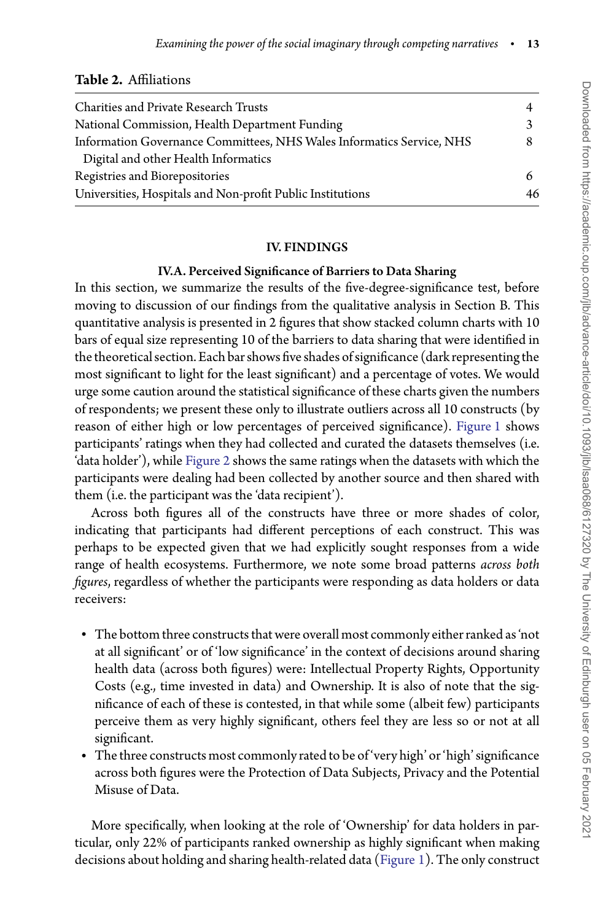#### <span id="page-13-0"></span>**Table 2.** Affiliations

| Charities and Private Research Trusts                                 |    |
|-----------------------------------------------------------------------|----|
| National Commission, Health Department Funding                        |    |
| Information Governance Committees, NHS Wales Informatics Service, NHS |    |
| Digital and other Health Informatics                                  |    |
| Registries and Biorepositories                                        |    |
| Universities, Hospitals and Non-profit Public Institutions            | 46 |
|                                                                       |    |

#### IV. FINDINGS

#### IV.A. Perceived Significance of Barriers to Data Sharing

In this section, we summarize the results of the five-degree-significance test, before moving to discussion of our findings from the qualitative analysis in Section B. This quantitative analysis is presented in 2 figures that show stacked column charts with 10 bars of equal size representing 10 of the barriers to data sharing that were identified in the theoretical section. Each bar shows five shades of significance (dark representing the most significant to light for the least significant) and a percentage of votes. We would urge some caution around the statistical significance of these charts given the numbers of respondents; we present these only to illustrate outliers across all 10 constructs (by reason of either high or low percentages of perceived significance). [Figure 1](#page-14-0) shows participants' ratings when they had collected and curated the datasets themselves (i.e. 'data holder'), while [Figure 2](#page-15-0) shows the same ratings when the datasets with which the participants were dealing had been collected by another source and then shared with them (i.e. the participant was the 'data recipient').

Across both figures all of the constructs have three or more shades of color, indicating that participants had different perceptions of each construct. This was perhaps to be expected given that we had explicitly sought responses from a wide range of health ecosystems. Furthermore, we note some broad patterns *across both figures*, regardless of whether the participants were responding as data holders or data receivers:

- The bottom three constructs that were overall most commonly either ranked as 'not at all significant' or of 'low significance' in the context of decisions around sharing health data (across both figures) were: Intellectual Property Rights, Opportunity Costs (e.g., time invested in data) and Ownership. It is also of note that the significance of each of these is contested, in that while some (albeit few) participants perceive them as very highly significant, others feel they are less so or not at all significant.
- The three constructs most commonly rated to be of 'very high' or 'high' significance across both figures were the Protection of Data Subjects, Privacy and the Potential Misuse of Data.

More specifically, when looking at the role of 'Ownership' for data holders in particular, only 22% of participants ranked ownership as highly significant when making decisions about holding and sharing health-related data [\(Figure 1\)](#page-14-0). The only construct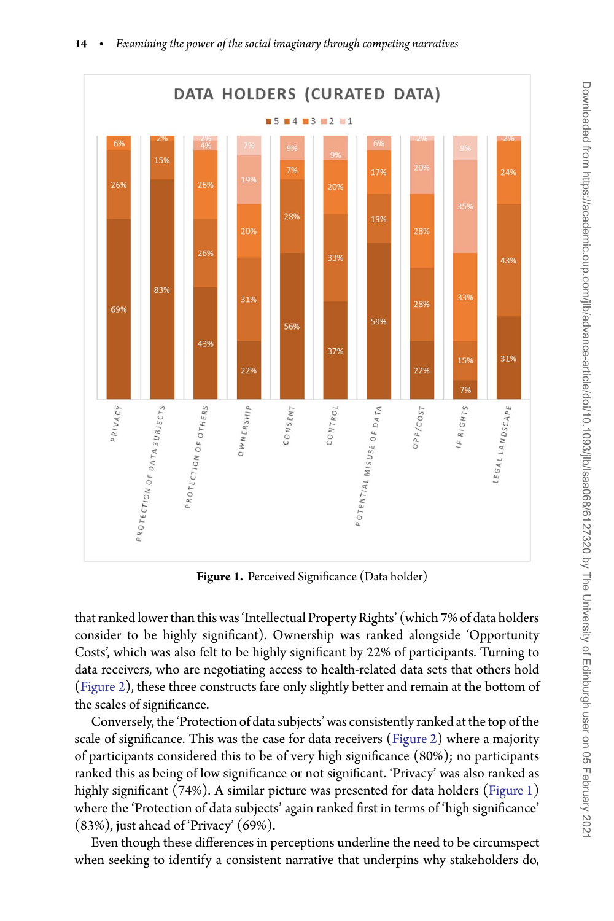

**14** • *Examining the power of the social imaginary through competing narratives*

**Figure 1.** Perceived Significance (Data holder)

<span id="page-14-0"></span>that ranked lower than this was 'Intellectual Property Rights' (which 7% of data holders consider to be highly significant). Ownership was ranked alongside 'Opportunity Costs', which was also felt to be highly significant by 22% of participants. Turning to data receivers, who are negotiating access to health-related data sets that others hold [\(Figure 2\)](#page-15-0), these three constructs fare only slightly better and remain at the bottom of the scales of significance.

Conversely, the 'Protection of data subjects' was consistently ranked at the top of the scale of significance. This was the case for data receivers [\(Figure 2\)](#page-15-0) where a majority of participants considered this to be of very high significance (80%); no participants ranked this as being of low significance or not significant. 'Privacy' was also ranked as highly significant (74%). A similar picture was presented for data holders [\(Figure 1\)](#page-14-0) where the 'Protection of data subjects' again ranked first in terms of 'high significance' (83%), just ahead of 'Privacy' (69%).

Even though these differences in perceptions underline the need to be circumspect when seeking to identify a consistent narrative that underpins why stakeholders do,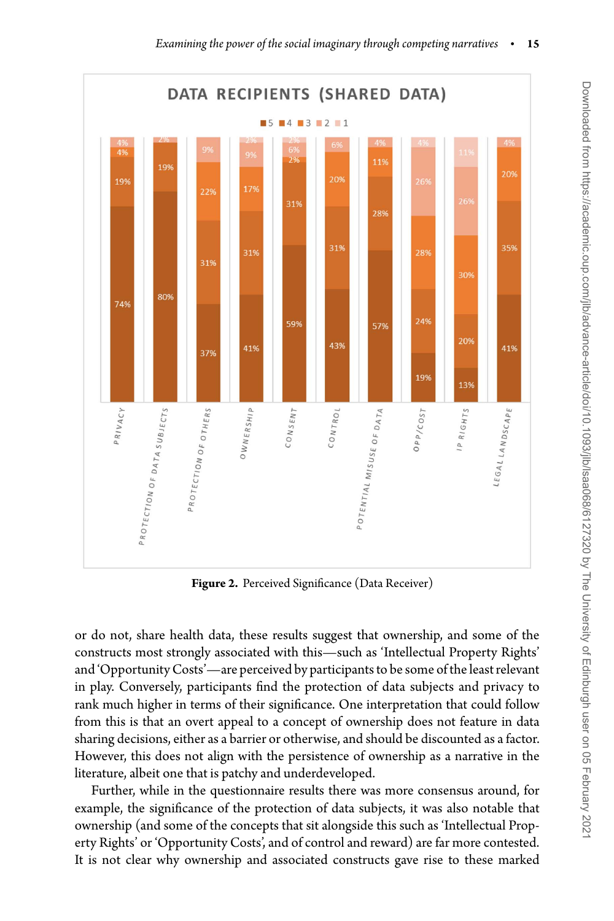

**Figure 2.** Perceived Significance (Data Receiver)

<span id="page-15-0"></span>or do not, share health data, these results suggest that ownership, and some of the constructs most strongly associated with this—such as 'Intellectual Property Rights' and 'Opportunity Costs'—are perceived by participants to be some of the least relevant in play. Conversely, participants find the protection of data subjects and privacy to rank much higher in terms of their significance. One interpretation that could follow from this is that an overt appeal to a concept of ownership does not feature in data sharing decisions, either as a barrier or otherwise, and should be discounted as a factor. However, this does not align with the persistence of ownership as a narrative in the literature, albeit one that is patchy and underdeveloped.

Further, while in the questionnaire results there was more consensus around, for example, the significance of the protection of data subjects, it was also notable that ownership (and some of the concepts that sit alongside this such as 'Intellectual Property Rights' or 'Opportunity Costs', and of control and reward) are far more contested. It is not clear why ownership and associated constructs gave rise to these marked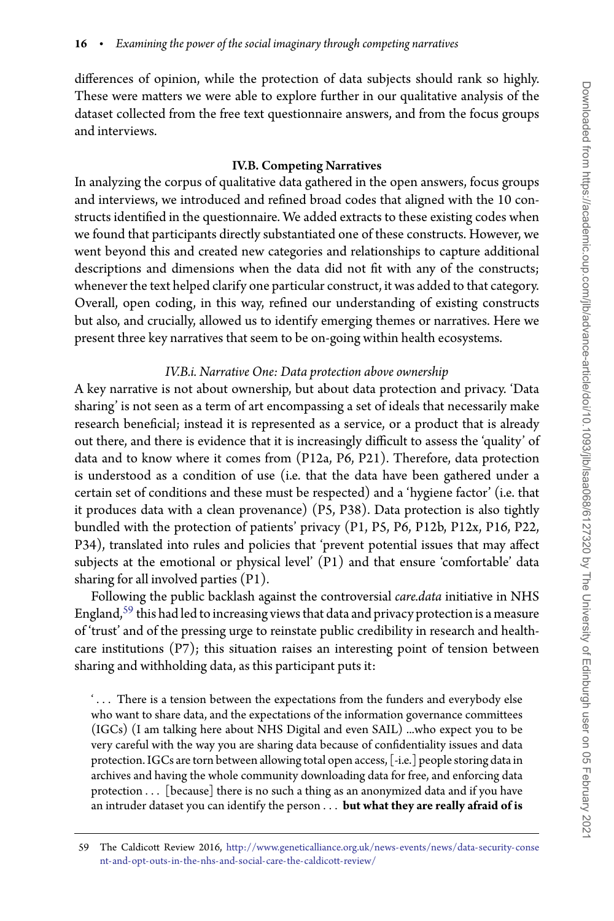differences of opinion, while the protection of data subjects should rank so highly. These were matters we were able to explore further in our qualitative analysis of the dataset collected from the free text questionnaire answers, and from the focus groups and interviews.

#### IV.B. Competing Narratives

In analyzing the corpus of qualitative data gathered in the open answers, focus groups and interviews, we introduced and refined broad codes that aligned with the 10 constructs identified in the questionnaire. We added extracts to these existing codes when we found that participants directly substantiated one of these constructs. However, we went beyond this and created new categories and relationships to capture additional descriptions and dimensions when the data did not fit with any of the constructs; whenever the text helped clarify one particular construct, it was added to that category. Overall, open coding, in this way, refined our understanding of existing constructs but also, and crucially, allowed us to identify emerging themes or narratives. Here we present three key narratives that seem to be on-going within health ecosystems.

#### *IV.B.i. Narrative One: Data protection above ownership*

A key narrative is not about ownership, but about data protection and privacy. 'Data sharing' is not seen as a term of art encompassing a set of ideals that necessarily make research beneficial; instead it is represented as a service, or a product that is already out there, and there is evidence that it is increasingly difficult to assess the 'quality' of data and to know where it comes from (P12a, P6, P21). Therefore, data protection is understood as a condition of use (i.e. that the data have been gathered under a certain set of conditions and these must be respected) and a 'hygiene factor' (i.e. that it produces data with a clean provenance) (P5, P38). Data protection is also tightly bundled with the protection of patients' privacy (P1, P5, P6, P12b, P12x, P16, P22, P34), translated into rules and policies that 'prevent potential issues that may affect subjects at the emotional or physical level' (P1) and that ensure 'comfortable' data sharing for all involved parties (P1).

Following the public backlash against the controversial *care.data* initiative in NHS England, $59$  this had led to increasing views that data and privacy protection is a measure of 'trust' and of the pressing urge to reinstate public credibility in research and healthcare institutions  $(P7)$ ; this situation raises an interesting point of tension between sharing and withholding data, as this participant puts it:

' *...* There is a tension between the expectations from the funders and everybody else who want to share data, and the expectations of the information governance committees (IGCs) (I am talking here about NHS Digital and even SAIL) ...who expect you to be very careful with the way you are sharing data because of confidentiality issues and data protection. IGCs are torn between allowing total open access, [-i.e.] people storing data in archives and having the whole community downloading data for free, and enforcing data protection *...* [because] there is no such a thing as an anonymized data and if you have an intruder dataset you can identify the person *...* **but what they are really afraid of is**

<span id="page-16-0"></span><sup>59</sup> The Caldicott Review 2016, [http://www.geneticalliance.org.uk/news-events/news/data-security-conse](http://www.geneticalliance.org.uk/news-events/news/data-security-consent-and-opt-outs-in-the-nhs-and-social-care-the-caldicott-review/) [nt-and-opt-outs-in-the-nhs-and-social-care-the-caldicott-review/](http://www.geneticalliance.org.uk/news-events/news/data-security-consent-and-opt-outs-in-the-nhs-and-social-care-the-caldicott-review/)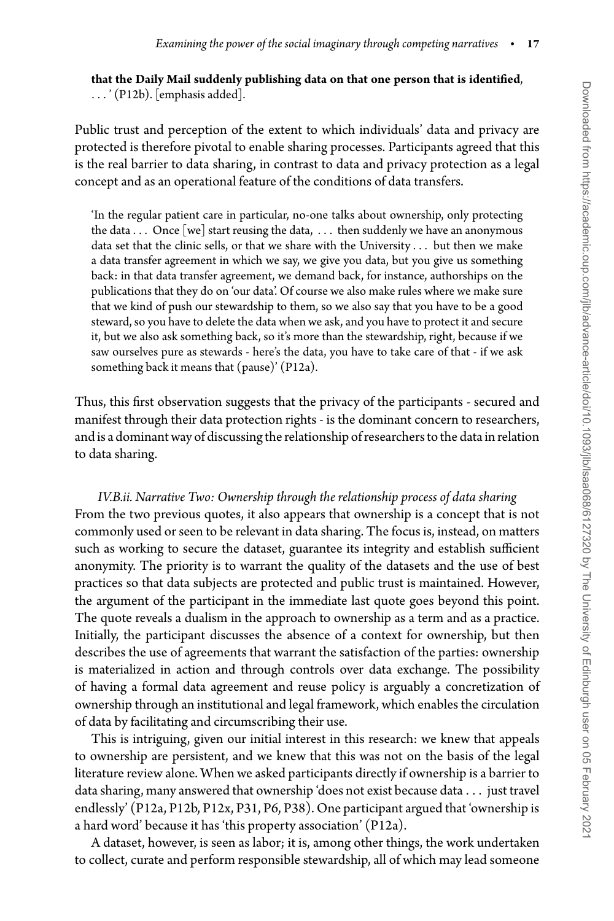**that the Daily Mail suddenly publishing data on that one person that is identified**, *...* ' (P12b). [emphasis added].

Public trust and perception of the extent to which individuals' data and privacy are protected is therefore pivotal to enable sharing processes. Participants agreed that this is the real barrier to data sharing, in contrast to data and privacy protection as a legal concept and as an operational feature of the conditions of data transfers.

'In the regular patient care in particular, no-one talks about ownership, only protecting the data *...* Once [we] start reusing the data, *...* then suddenly we have an anonymous data set that the clinic sells, or that we share with the University *...* but then we make a data transfer agreement in which we say, we give you data, but you give us something back: in that data transfer agreement, we demand back, for instance, authorships on the publications that they do on 'our data'. Of course we also make rules where we make sure that we kind of push our stewardship to them, so we also say that you have to be a good steward, so you have to delete the data when we ask, and you have to protect it and secure it, but we also ask something back, so it's more than the stewardship, right, because if we saw ourselves pure as stewards - here's the data, you have to take care of that - if we ask something back it means that (pause)' (P12a).

Thus, this first observation suggests that the privacy of the participants - secured and manifest through their data protection rights - is the dominant concern to researchers, and is a dominant way of discussing the relationship of researchers to the data in relation to data sharing.

*IV.B.ii. Narrative Two: Ownership through the relationship process of data sharing* From the two previous quotes, it also appears that ownership is a concept that is not commonly used or seen to be relevant in data sharing. The focus is, instead, on matters such as working to secure the dataset, guarantee its integrity and establish sufficient anonymity. The priority is to warrant the quality of the datasets and the use of best practices so that data subjects are protected and public trust is maintained. However, the argument of the participant in the immediate last quote goes beyond this point. The quote reveals a dualism in the approach to ownership as a term and as a practice. Initially, the participant discusses the absence of a context for ownership, but then describes the use of agreements that warrant the satisfaction of the parties: ownership is materialized in action and through controls over data exchange. The possibility of having a formal data agreement and reuse policy is arguably a concretization of ownership through an institutional and legal framework, which enables the circulation of data by facilitating and circumscribing their use.

This is intriguing, given our initial interest in this research: we knew that appeals to ownership are persistent, and we knew that this was not on the basis of the legal literature review alone. When we asked participants directly if ownership is a barrier to data sharing, many answered that ownership 'does not exist because data *...* just travel endlessly' (P12a, P12b, P12x, P31, P6, P38). One participant argued that 'ownership is a hard word' because it has 'this property association' (P12a).

A dataset, however, is seen as labor; it is, among other things, the work undertaken to collect, curate and perform responsible stewardship, all of which may lead someone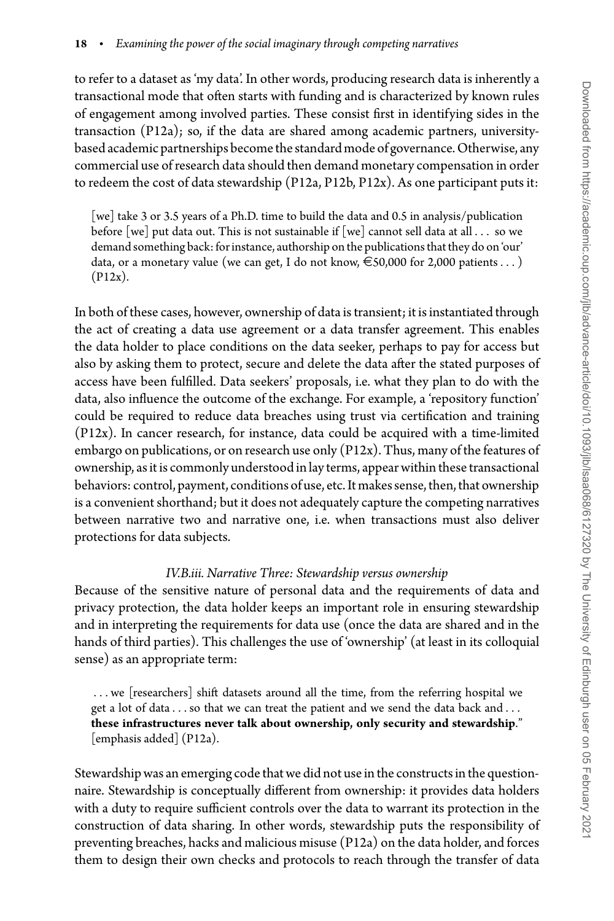to refer to a dataset as 'my data'. In other words, producing research data is inherently a transactional mode that often starts with funding and is characterized by known rules of engagement among involved parties. These consist first in identifying sides in the transaction (P12a); so, if the data are shared among academic partners, universitybased academic partnerships becomethe standard mode of governance. Otherwise, any commercial use of research data should then demand monetary compensation in order to redeem the cost of data stewardship (P12a, P12b, P12x). As one participant puts it:

[we] take 3 or 3.5 years of a Ph.D. time to build the data and 0.5 in analysis/publication before [we] put data out. This is not sustainable if [we] cannot sell data at all *...* so we demand something back: for instance, authorship on the publications that they do on 'our' data, or a monetary value (we can get, I do not know,  $\epsilon$ 50,000 for 2,000 patients ...) (P12x).

In both of these cases, however, ownership of data is transient; it is instantiated through the act of creating a data use agreement or a data transfer agreement. This enables the data holder to place conditions on the data seeker, perhaps to pay for access but also by asking them to protect, secure and delete the data after the stated purposes of access have been fulfilled. Data seekers' proposals, i.e. what they plan to do with the data, also influence the outcome of the exchange. For example, a 'repository function' could be required to reduce data breaches using trust via certification and training (P12x). In cancer research, for instance, data could be acquired with a time-limited embargo on publications, or on research use only (P12x). Thus, many of the features of ownership, as it is commonly understood in lay terms, appear within these transactional behaviors: control, payment, conditions of use, etc. It makes sense, then, that ownership is a convenient shorthand; but it does not adequately capture the competing narratives between narrative two and narrative one, i.e. when transactions must also deliver protections for data subjects.

#### *IV.B.iii. Narrative Three: Stewardship versus ownership*

Because of the sensitive nature of personal data and the requirements of data and privacy protection, the data holder keeps an important role in ensuring stewardship and in interpreting the requirements for data use (once the data are shared and in the hands of third parties). This challenges the use of 'ownership' (at least in its colloquial sense) as an appropriate term:

*...* we [researchers] shift datasets around all the time, from the referring hospital we get a lot of data *...*so that we can treat the patient and we send the data back and *...* **these infrastructures never talk about ownership, only security and stewardship**." [emphasis added] (P12a).

Stewardship was an emerging code that we did not use in the constructs in the questionnaire. Stewardship is conceptually different from ownership: it provides data holders with a duty to require sufficient controls over the data to warrant its protection in the construction of data sharing. In other words, stewardship puts the responsibility of preventing breaches, hacks and malicious misuse (P12a) on the data holder, and forces them to design their own checks and protocols to reach through the transfer of data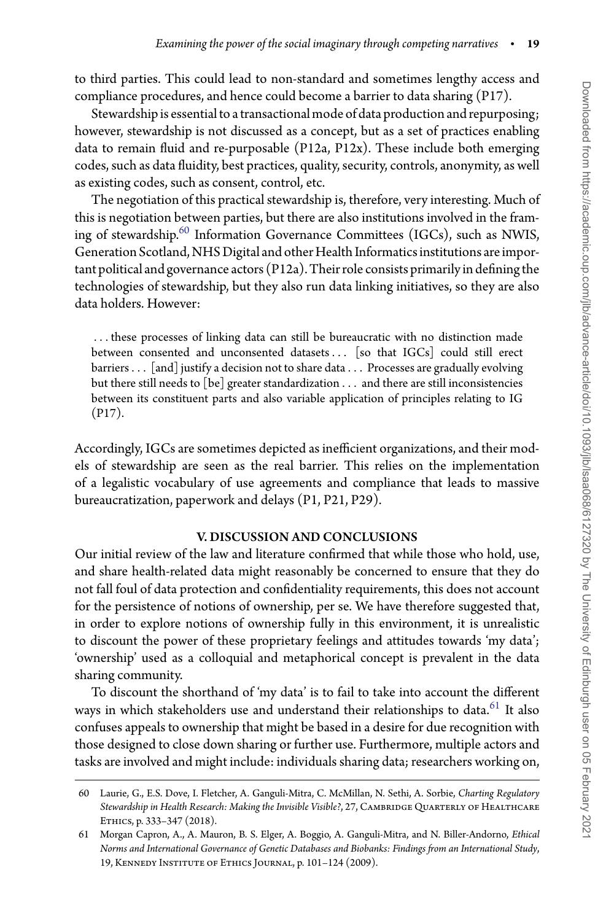to third parties. This could lead to non-standard and sometimes lengthy access and compliance procedures, and hence could become a barrier to data sharing (P17).

Stewardship is essential to a transactional mode of data production and repurposing; however, stewardship is not discussed as a concept, but as a set of practices enabling data to remain fluid and re-purposable (P12a, P12x). These include both emerging codes, such as data fluidity, best practices, quality, security, controls, anonymity, as well as existing codes, such as consent, control, etc.

The negotiation of this practical stewardship is, therefore, very interesting. Much of this is negotiation between parties, but there are also institutions involved in the framing of stewardship. $60$  Information Governance Committees (IGCs), such as NWIS, Generation Scotland, NHS Digital and other Health Informatics institutions are important political and governance actors  $(P12a)$ . Their role consists primarily in defining the technologies of stewardship, but they also run data linking initiatives, so they are also data holders. However:

*...* these processes of linking data can still be bureaucratic with no distinction made between consented and unconsented datasets*...* [so that IGCs] could still erect barriers*...* [and] justify a decision not to share data *...* Processes are gradually evolving but there still needs to [be] greater standardization *...* and there are still inconsistencies between its constituent parts and also variable application of principles relating to IG (P17).

Accordingly, IGCs are sometimes depicted as inefficient organizations, and their models of stewardship are seen as the real barrier. This relies on the implementation of a legalistic vocabulary of use agreements and compliance that leads to massive bureaucratization, paperwork and delays (P1, P21, P29).

#### V. DISCUSSION AND CONCLUSIONS

Our initial review of the law and literature confirmed that while those who hold, use, and share health-related data might reasonably be concerned to ensure that they do not fall foul of data protection and confidentiality requirements, this does not account for the persistence of notions of ownership, per se. We have therefore suggested that, in order to explore notions of ownership fully in this environment, it is unrealistic to discount the power of these proprietary feelings and attitudes towards 'my data'; 'ownership' used as a colloquial and metaphorical concept is prevalent in the data sharing community.

To discount the shorthand of 'my data' is to fail to take into account the different ways in which stakeholders use and understand their relationships to data.<sup>[61](#page-19-1)</sup> It also confuses appeals to ownership that might be based in a desire for due recognition with those designed to close down sharing or further use. Furthermore, multiple actors and tasks are involved and might include: individuals sharing data; researchers working on,

<span id="page-19-0"></span><sup>60</sup> Laurie, G., E.S. Dove, I. Fletcher, A. Ganguli-Mitra, C. McMillan, N. Sethi, A. Sorbie, *Charting Regulatory* Stewardship in Health Research: Making the Invisible Visible?, 27, CAMBRIDGE QUARTERLY OF HEALTHCARE Ethics, p. 333–347 (2018).

<span id="page-19-1"></span><sup>61</sup> Morgan Capron, A., A. Mauron, B. S. Elger, A. Boggio, A. Ganguli-Mitra, and N. Biller-Andorno, *Ethical Norms and International Governance of Genetic Databases and Biobanks: Findings from an International Study*, 19, Kennedy Institute of Ethics Journal, p. 101–124 (2009).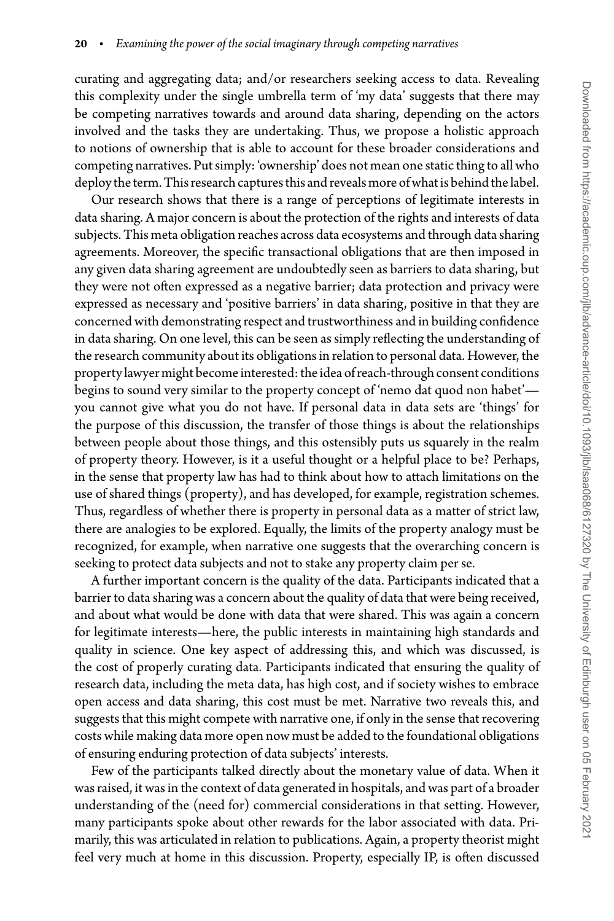curating and aggregating data; and/or researchers seeking access to data. Revealing this complexity under the single umbrella term of 'my data' suggests that there may be competing narratives towards and around data sharing, depending on the actors involved and the tasks they are undertaking. Thus, we propose a holistic approach to notions of ownership that is able to account for these broader considerations and competing narratives. Put simply: 'ownership' does not mean one static thing to all who deploy the term. This research captures this and reveals more of what is behind the label.

Our research shows that there is a range of perceptions of legitimate interests in data sharing. A major concern is about the protection of the rights and interests of data subjects. This meta obligation reaches across data ecosystems and through data sharing agreements. Moreover, the specific transactional obligations that are then imposed in any given data sharing agreement are undoubtedly seen as barriers to data sharing, but they were not often expressed as a negative barrier; data protection and privacy were expressed as necessary and 'positive barriers' in data sharing, positive in that they are concerned with demonstrating respect and trustworthiness and in building confidence in data sharing. On one level, this can be seen as simply reflecting the understanding of the research community about its obligations in relation to personal data. However, the property lawyer might become interested: the idea of reach-through consent conditions begins to sound very similar to the property concept of 'nemo dat quod non habet' you cannot give what you do not have. If personal data in data sets are 'things' for the purpose of this discussion, the transfer of those things is about the relationships between people about those things, and this ostensibly puts us squarely in the realm of property theory. However, is it a useful thought or a helpful place to be? Perhaps, in the sense that property law has had to think about how to attach limitations on the use of shared things (property), and has developed, for example, registration schemes. Thus, regardless of whether there is property in personal data as a matter of strict law, there are analogies to be explored. Equally, the limits of the property analogy must be recognized, for example, when narrative one suggests that the overarching concern is seeking to protect data subjects and not to stake any property claim per se.

A further important concern is the quality of the data. Participants indicated that a barrier to data sharing was a concern about the quality of data that were being received, and about what would be done with data that were shared. This was again a concern for legitimate interests—here, the public interests in maintaining high standards and quality in science. One key aspect of addressing this, and which was discussed, is the cost of properly curating data. Participants indicated that ensuring the quality of research data, including the meta data, has high cost, and if society wishes to embrace open access and data sharing, this cost must be met. Narrative two reveals this, and suggests that this might compete with narrative one, if only in the sense that recovering costs while making data more open now must be added to the foundational obligations of ensuring enduring protection of data subjects' interests.

Few of the participants talked directly about the monetary value of data. When it was raised, it was in the context of data generated in hospitals, and was part of a broader understanding of the (need for) commercial considerations in that setting. However, many participants spoke about other rewards for the labor associated with data. Primarily, this was articulated in relation to publications. Again, a property theorist might feel very much at home in this discussion. Property, especially IP, is often discussed